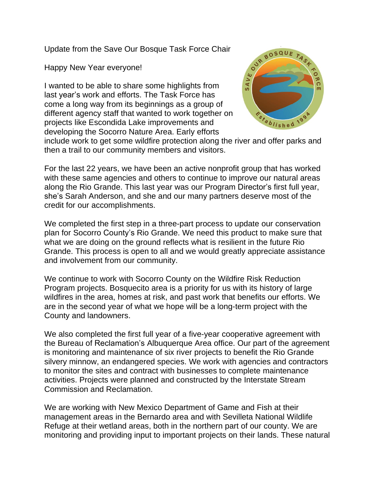Update from the Save Our Bosque Task Force Chair

Happy New Year everyone!

I wanted to be able to share some highlights from last year's work and efforts. The Task Force has come a long way from its beginnings as a group of different agency staff that wanted to work together on projects like Escondida Lake improvements and developing the Socorro Nature Area. Early efforts



include work to get some wildfire protection along the river and offer parks and then a trail to our community members and visitors.

For the last 22 years, we have been an active nonprofit group that has worked with these same agencies and others to continue to improve our natural areas along the Rio Grande. This last year was our Program Director's first full year, she's Sarah Anderson, and she and our many partners deserve most of the credit for our accomplishments.

We completed the first step in a three-part process to update our conservation plan for Socorro County's Rio Grande. We need this product to make sure that what we are doing on the ground reflects what is resilient in the future Rio Grande. This process is open to all and we would greatly appreciate assistance and involvement from our community.

We continue to work with Socorro County on the Wildfire Risk Reduction Program projects. Bosquecito area is a priority for us with its history of large wildfires in the area, homes at risk, and past work that benefits our efforts. We are in the second year of what we hope will be a long-term project with the County and landowners.

We also completed the first full year of a five-year cooperative agreement with the Bureau of Reclamation's Albuquerque Area office. Our part of the agreement is monitoring and maintenance of six river projects to benefit the Rio Grande silvery minnow, an endangered species. We work with agencies and contractors to monitor the sites and contract with businesses to complete maintenance activities. Projects were planned and constructed by the Interstate Stream Commission and Reclamation.

We are working with New Mexico Department of Game and Fish at their management areas in the Bernardo area and with Sevilleta National Wildlife Refuge at their wetland areas, both in the northern part of our county. We are monitoring and providing input to important projects on their lands. These natural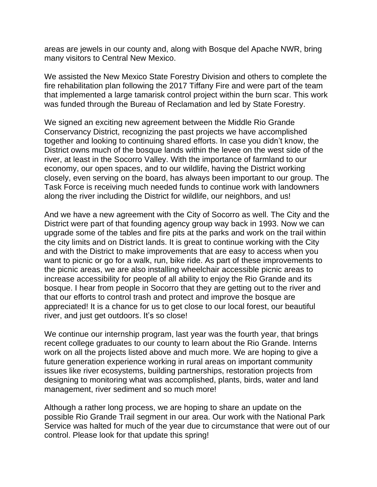areas are jewels in our county and, along with Bosque del Apache NWR, bring many visitors to Central New Mexico.

We assisted the New Mexico State Forestry Division and others to complete the fire rehabilitation plan following the 2017 Tiffany Fire and were part of the team that implemented a large tamarisk control project within the burn scar. This work was funded through the Bureau of Reclamation and led by State Forestry.

We signed an exciting new agreement between the Middle Rio Grande Conservancy District, recognizing the past projects we have accomplished together and looking to continuing shared efforts. In case you didn't know, the District owns much of the bosque lands within the levee on the west side of the river, at least in the Socorro Valley. With the importance of farmland to our economy, our open spaces, and to our wildlife, having the District working closely, even serving on the board, has always been important to our group. The Task Force is receiving much needed funds to continue work with landowners along the river including the District for wildlife, our neighbors, and us!

And we have a new agreement with the City of Socorro as well. The City and the District were part of that founding agency group way back in 1993. Now we can upgrade some of the tables and fire pits at the parks and work on the trail within the city limits and on District lands. It is great to continue working with the City and with the District to make improvements that are easy to access when you want to picnic or go for a walk, run, bike ride. As part of these improvements to the picnic areas, we are also installing wheelchair accessible picnic areas to increase accessibility for people of all ability to enjoy the Rio Grande and its bosque. I hear from people in Socorro that they are getting out to the river and that our efforts to control trash and protect and improve the bosque are appreciated! It is a chance for us to get close to our local forest, our beautiful river, and just get outdoors. It's so close!

We continue our internship program, last year was the fourth year, that brings recent college graduates to our county to learn about the Rio Grande. Interns work on all the projects listed above and much more. We are hoping to give a future generation experience working in rural areas on important community issues like river ecosystems, building partnerships, restoration projects from designing to monitoring what was accomplished, plants, birds, water and land management, river sediment and so much more!

Although a rather long process, we are hoping to share an update on the possible Rio Grande Trail segment in our area. Our work with the National Park Service was halted for much of the year due to circumstance that were out of our control. Please look for that update this spring!